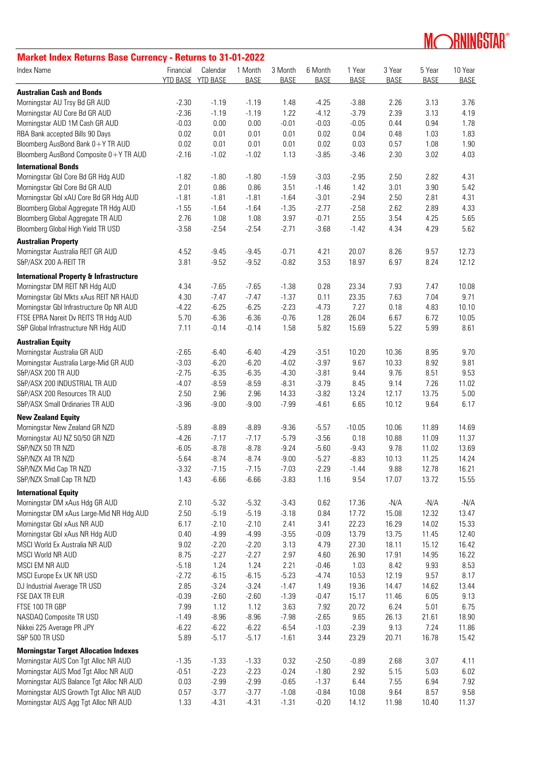## **MORNINGSTAR®**

## **Market Index Returns Base Currency - Returns to 31-01-2022**

| <b>Index Name</b>                                  | Financial<br>YTD BASE | Calendar<br><b>YTD BASE</b> | 1 Month<br><b>BASE</b> | 3 Month<br><b>BASE</b> | 6 Month<br><b>BASE</b> | 1 Year<br><b>BASE</b> | 3 Year<br><b>BASE</b> | 5 Year<br><b>BASE</b> | 10 Year<br><b>BASE</b> |
|----------------------------------------------------|-----------------------|-----------------------------|------------------------|------------------------|------------------------|-----------------------|-----------------------|-----------------------|------------------------|
| <b>Australian Cash and Bonds</b>                   |                       |                             |                        |                        |                        |                       |                       |                       |                        |
| Morningstar AU Trsy Bd GR AUD                      | $-2.30$               | $-1.19$                     | $-1.19$                | 1.48                   | $-4.25$                | $-3.88$               | 2.26                  | 3.13                  | 3.76                   |
| Morningstar AU Core Bd GR AUD                      | $-2.36$               | $-1.19$                     | $-1.19$                | 1.22                   | $-4.12$                | $-3.79$               | 2.39                  | 3.13                  | 4.19                   |
| Morningstar AUD 1M Cash GR AUD                     | $-0.03$               | 0.00                        | 0.00                   | $-0.01$                | $-0.03$                | $-0.05$               | 0.44                  | 0.94                  | 1.78                   |
| RBA Bank accepted Bills 90 Days                    | 0.02                  | 0.01                        | 0.01                   | 0.01                   | 0.02                   | 0.04                  | 0.48                  | 1.03                  | 1.83                   |
| Bloomberg AusBond Bank 0+Y TR AUD                  | 0.02                  | 0.01                        | 0.01                   | 0.01                   | 0.02                   | 0.03                  | 0.57                  | 1.08                  | 1.90                   |
| Bloomberg AusBond Composite 0+Y TR AUD             | $-2.16$               | $-1.02$                     | $-1.02$                | 1.13                   | $-3.85$                | $-3.46$               | 2.30                  | 3.02                  | 4.03                   |
| <b>International Bonds</b>                         |                       |                             |                        |                        |                        |                       |                       |                       |                        |
| Morningstar GbI Core Bd GR Hdg AUD                 | $-1.82$               | $-1.80$                     | $-1.80$                | $-1.59$                | $-3.03$                | $-2.95$               | 2.50                  | 2.82                  | 4.31                   |
| Morningstar GbI Core Bd GR AUD                     | 2.01                  | 0.86                        | 0.86                   | 3.51                   | $-1.46$                | 1.42                  | 3.01                  | 3.90                  | 5.42                   |
| Morningstar GbI xAU Core Bd GR Hdg AUD             | $-1.81$               | $-1.81$                     | $-1.81$                | $-1.64$                | $-3.01$                | $-2.94$               | 2.50                  | 2.81                  | 4.31                   |
| Bloomberg Global Aggregate TR Hdg AUD              | $-1.55$               | $-1.64$                     | $-1.64$                | $-1.35$                | $-2.77$                | $-2.58$               | 2.62                  | 2.89                  | 4.33                   |
| Bloomberg Global Aggregate TR AUD                  | 2.76                  | 1.08                        | 1.08                   | 3.97                   | $-0.71$                | 2.55                  | 3.54                  | 4.25                  | 5.65                   |
| Bloomberg Global High Yield TR USD                 | $-3.58$               | $-2.54$                     | $-2.54$                | $-2.71$                | $-3.68$                | $-1.42$               | 4.34                  | 4.29                  | 5.62                   |
| <b>Australian Property</b>                         |                       |                             |                        |                        |                        |                       |                       |                       |                        |
| Morningstar Australia REIT GR AUD                  | 4.52                  | $-9.45$                     | $-9.45$                | $-0.71$                | 4.21                   | 20.07                 | 8.26                  | 9.57                  | 12.73                  |
| S&P/ASX 200 A-REIT TR                              | 3.81                  | $-9.52$                     | $-9.52$                | $-0.82$                | 3.53                   | 18.97                 | 6.97                  | 8.24                  | 12.12                  |
| <b>International Property &amp; Infrastructure</b> |                       |                             |                        |                        |                        |                       |                       |                       |                        |
| Morningstar DM REIT NR Hdg AUD                     | 4.34                  | $-7.65$                     | $-7.65$                | $-1.38$                | 0.28                   | 23.34                 | 7.93                  | 7.47                  | 10.08                  |
| Morningstar GbI Mkts xAus REIT NR HAUD             | 4.30                  | $-7.47$                     | $-7.47$                | $-1.37$                | 0.11                   | 23.35                 | 7.63                  | 7.04                  | 9.71                   |
| Morningstar GbI Infrastructure Op NR AUD           | $-4.22$               | $-6.25$                     | $-6.25$                | $-2.23$                | $-4.73$                | 7.27                  | 0.18                  | 4.83                  | 10.10                  |
| FTSE EPRA Nareit Dv REITS TR Hdg AUD               | 5.70                  | $-6.36$                     | $-6.36$                | $-0.76$                | 1.28                   | 26.04                 | 6.67                  | 6.72                  | 10.05                  |
| S&P Global Infrastructure NR Hdg AUD               | 7.11                  | $-0.14$                     | $-0.14$                | 1.58                   | 5.82                   | 15.69                 | 5.22                  | 5.99                  | 8.61                   |
| <b>Australian Equity</b>                           |                       |                             |                        |                        |                        |                       |                       |                       |                        |
| Morningstar Australia GR AUD                       | $-2.65$               | $-6.40$                     | $-6.40$                | $-4.29$                | $-3.51$                | 10.20                 | 10.36                 | 8.95                  | 9.70                   |
| Morningstar Australia Large-Mid GR AUD             | $-3.03$               | $-6.20$                     | $-6.20$                | $-4.02$                | $-3.97$                | 9.67                  | 10.33                 | 8.92                  | 9.81                   |
| S&P/ASX 200 TR AUD                                 | $-2.75$               | $-6.35$                     | $-6.35$                | $-4.30$                | $-3.81$                | 9.44                  | 9.76                  | 8.51                  | 9.53                   |
| S&P/ASX 200 INDUSTRIAL TR AUD                      | $-4.07$               | $-8.59$                     | $-8.59$                | $-8.31$                | $-3.79$                | 8.45                  | 9.14                  | 7.26                  | 11.02                  |
| S&P/ASX 200 Resources TR AUD                       | 2.50                  | 2.96                        | 2.96                   | 14.33                  | $-3.82$                | 13.24                 | 12.17                 | 13.75                 | 5.00                   |
| S&P/ASX Small Ordinaries TR AUD                    | $-3.96$               | $-9.00$                     | $-9.00$                | $-7.99$                | $-4.61$                | 6.65                  | 10.12                 | 9.64                  | 6.17                   |
| <b>New Zealand Equity</b>                          |                       |                             |                        |                        |                        |                       |                       |                       |                        |
| Morningstar New Zealand GR NZD                     | $-5.89$               | $-8.89$                     | $-8.89$                | $-9.36$                | $-5.57$                | $-10.05$              | 10.06                 | 11.89                 | 14.69                  |
| Morningstar AU NZ 50/50 GR NZD                     | $-4.26$               | $-7.17$                     | $-7.17$                | $-5.79$                | $-3.56$                | 0.18                  | 10.88                 | 11.09                 | 11.37                  |
| S&P/NZX 50 TR NZD                                  | $-6.05$               | $-8.78$                     | $-8.78$                | $-9.24$                | $-5.60$                | $-9.43$               | 9.78                  | 11.02                 | 13.69                  |
| S&P/NZX AII TR NZD                                 | $-5.64$               | $-8.74$                     | $-8.74$                | $-9.00$                | $-5.27$                | $-8.83$               | 10.13                 | 11.25                 | 14.24                  |
| S&P/NZX Mid Cap TR NZD                             | $-3.32$               | $-7.15$                     | $-7.15$                | $-7.03$                | $-2.29$                | $-1.44$               | 9.88                  | 12.78                 | 16.21                  |
| S&P/NZX Small Cap TR NZD                           | 1.43                  | $-6.66$                     | $-6.66$                | $-3.83$                | 1.16                   | 9.54                  | 17.07                 | 13.72                 | 15.55                  |
| <b>International Equity</b>                        |                       |                             |                        |                        |                        |                       |                       |                       |                        |
| Morningstar DM xAus Hdg GR AUD                     | 2.10                  | $-5.32$                     | $-5.32$                | $-3.43$                | 0.62                   | 17.36                 | $-N/A$                | $-N/A$                | $-N/A$                 |
| Morningstar DM xAus Large-Mid NR Hdg AUD           | 2.50                  | $-5.19$                     | $-5.19$                | $-3.18$                | 0.84                   | 17.72                 | 15.08                 | 12.32                 | 13.47                  |
| Morningstar GbI xAus NR AUD                        | 6.17                  | $-2.10$                     | $-2.10$                | 2.41                   | 3.41                   | 22.23                 | 16.29                 | 14.02                 | 15.33                  |
| Morningstar Gbl xAus NR Hdg AUD                    | 0.40                  | $-4.99$                     | $-4.99$                | $-3.55$                | $-0.09$                | 13.79                 | 13.75                 | 11.45                 | 12.40                  |
| MSCI World Ex Australia NR AUD                     | 9.02                  | $-2.20$                     | $-2.20$                | 3.13                   | 4.79                   | 27.30                 | 18.11                 | 15.12                 | 16.42                  |
| <b>MSCI World NR AUD</b>                           | 8.75                  | $-2.27$                     | $-2.27$                | 2.97                   | 4.60                   | 26.90                 | 17.91                 | 14.95                 | 16.22                  |
| MSCI EM NR AUD                                     | $-5.18$               | 1.24                        | 1.24                   | 2.21                   | $-0.46$                | 1.03                  | 8.42                  | 9.93                  | 8.53                   |
| MSCI Europe Ex UK NR USD                           | $-2.72$               | $-6.15$                     | $-6.15$                | $-5.23$                | $-4.74$                | 10.53                 | 12.19                 | 9.57                  | 8.17                   |
| DJ Industrial Average TR USD                       | 2.85                  | $-3.24$                     | $-3.24$                | $-1.47$                | 1.49                   | 19.36                 | 14.47                 | 14.62                 | 13.44                  |
| FSE DAX TR EUR                                     | $-0.39$               | $-2.60$                     | $-2.60$                | $-1.39$                | $-0.47$                | 15.17                 | 11.46                 | 6.05                  | 9.13                   |
| FTSE 100 TR GBP                                    | 7.99                  | 1.12                        | 1.12                   | 3.63                   | 7.92                   | 20.72                 | 6.24                  | 5.01                  | 6.75                   |
| NASDAQ Composite TR USD                            | $-1.49$               | $-8.96$                     | $-8.96$                | $-7.98$                | $-2.65$                | 9.65                  | 26.13                 | 21.61                 | 18.90                  |
| Nikkei 225 Average PR JPY                          | $-6.22$               | $-6.22$                     | $-6.22$                | $-6.54$                | $-1.03$                | $-2.39$               | 9.13                  | 7.24                  | 11.86                  |
| S&P 500 TR USD                                     | 5.89                  | $-5.17$                     | $-5.17$                | $-1.61$                | 3.44                   | 23.29                 | 20.71                 | 16.78                 | 15.42                  |
| <b>Morningstar Target Allocation Indexes</b>       |                       |                             |                        |                        |                        |                       |                       |                       |                        |
| Morningstar AUS Con Tgt Alloc NR AUD               | $-1.35$               | $-1.33$                     | $-1.33$                | 0.32                   | $-2.50$                | $-0.89$               | 2.68                  | 3.07                  | 4.11                   |
| Morningstar AUS Mod Tgt Alloc NR AUD               | $-0.51$               | $-2.23$                     | $-2.23$                | $-0.24$                | $-1.80$                | 2.92                  | 5.15                  | 5.03                  | 6.02                   |
| Morningstar AUS Balance Tgt Alloc NR AUD           | 0.03                  | $-2.99$                     | $-2.99$                | $-0.65$                | $-1.37$                | 6.44                  | 7.55                  | 6.94                  | 7.92                   |
| Morningstar AUS Growth Tgt Alloc NR AUD            | 0.57                  | $-3.77$                     | $-3.77$                | $-1.08$                | $-0.84$                | 10.08                 | 9.64                  | 8.57                  | 9.58                   |
| Morningstar AUS Agg Tgt Alloc NR AUD               | 1.33                  | $-4.31$                     | $-4.31$                | $-1.31$                | $-0.20$                | 14.12                 | 11.98                 | 10.40                 | 11.37                  |